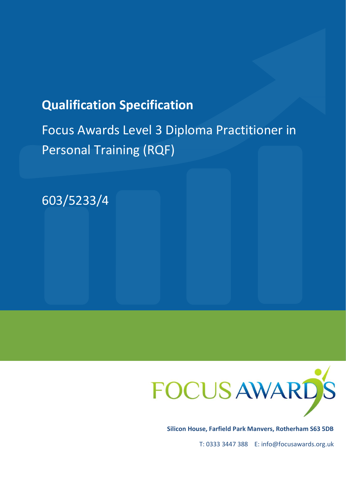# **Qualification Specification**

Focus Awards Level 3 Diploma Practitioner in Personal Training (RQF)





**Silicon House, Farfield Park Manvers, Rotherham S63 5DB**

T: 0333 3447 388 E: info@focusawards.org.uk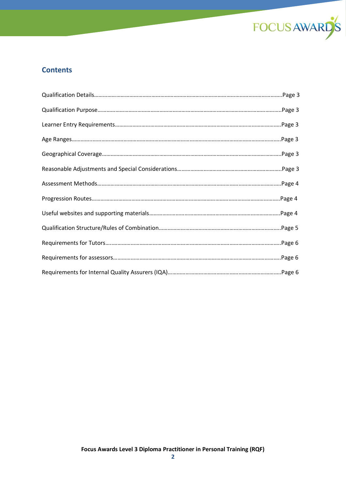

# **Contents**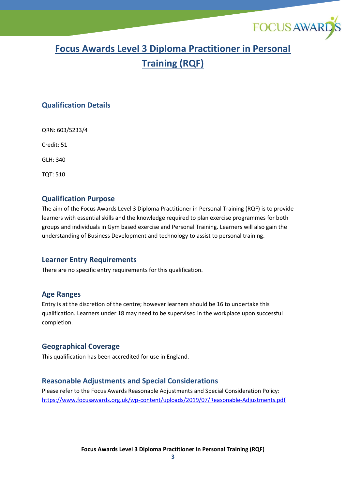

# **Focus Awards Level 3 Diploma Practitioner in Personal Training (RQF)**

### **Qualification Details**

QRN: 603/5233/4

Credit: 51

GLH: 340

TQT: 510

### **Qualification Purpose**

The aim of the Focus Awards Level 3 Diploma Practitioner in Personal Training (RQF) is to provide learners with essential skills and the knowledge required to plan exercise programmes for both groups and individuals in Gym based exercise and Personal Training. Learners will also gain the understanding of Business Development and technology to assist to personal training.

#### **Learner Entry Requirements**

There are no specific entry requirements for this qualification.

#### **Age Ranges**

Entry is at the discretion of the centre; however learners should be 16 to undertake this qualification. Learners under 18 may need to be supervised in the workplace upon successful completion.

### **Geographical Coverage**

This qualification has been accredited for use in England.

### **Reasonable Adjustments and Special Considerations**

Please refer to the Focus Awards Reasonable Adjustments and Special Consideration Policy: <https://www.focusawards.org.uk/wp-content/uploads/2019/07/Reasonable-Adjustments.pdf>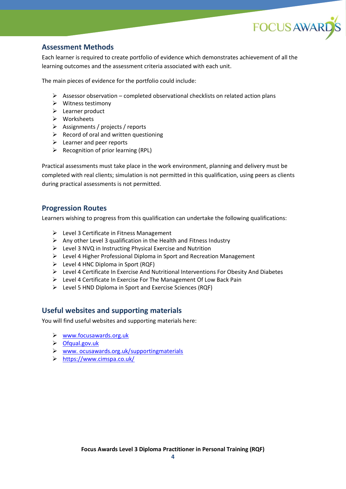

## **Assessment Methods**

Each learner is required to create portfolio of evidence which demonstrates achievement of all the learning outcomes and the assessment criteria associated with each unit.

The main pieces of evidence for the portfolio could include:

- $\triangleright$  Assessor observation completed observational checklists on related action plans
- ➢ Witness testimony
- ➢ Learner product
- ➢ Worksheets
- ➢ Assignments / projects / reports
- $\triangleright$  Record of oral and written questioning
- ➢ Learner and peer reports
- $\triangleright$  Recognition of prior learning (RPL)

Practical assessments must take place in the work environment, planning and delivery must be completed with real clients; simulation is not permitted in this qualification, using peers as clients during practical assessments is not permitted.

#### **Progression Routes**

Learners wishing to progress from this qualification can undertake the following qualifications:

- $\triangleright$  Level 3 Certificate in Fitness Management
- $\triangleright$  Any other Level 3 qualification in the Health and Fitness Industry
- ➢ Level 3 NVQ in Instructing Physical Exercise and Nutrition
- ➢ Level 4 Higher Professional Diploma in Sport and Recreation Management
- $\triangleright$  Level 4 HNC Diploma in Sport (RQF)
- ➢ Level 4 Certificate In Exercise And Nutritional Interventions For Obesity And Diabetes
- ➢ Level 4 Certificate In Exercise For The Management Of Low Back Pain
- ➢ Level 5 HND Diploma in Sport and Exercise Sciences (RQF)

### **Useful websites and supporting materials**

You will find useful websites and supporting materials here:

- ➢ [www.focusawards.org.uk](http://www.focusawards.org.uk/)
- ➢ [Ofqual.gov.uk](http://www.ofqual.gov.uk/)
- ➢ [www. ocusawards.org.uk/supportingmaterials](http://focusawards.org.uk/supportingmaterials)
- ➢ <https://www.cimspa.co.uk/>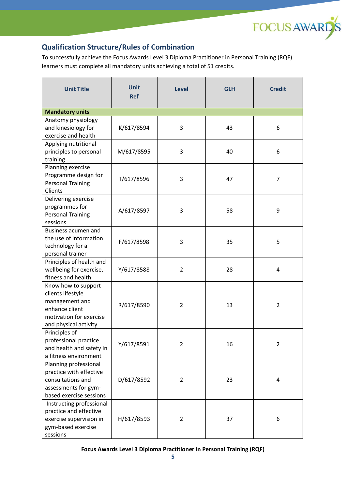

# **Qualification Structure/Rules of Combination**

To successfully achieve the Focus Awards Level 3 Diploma Practitioner in Personal Training (RQF) learners must complete all mandatory units achieving a total of 51 credits.

| <b>Unit Title</b>                                                                                                                | <b>Unit</b><br><b>Ref</b> | Level          | <b>GLH</b> | <b>Credit</b>  |
|----------------------------------------------------------------------------------------------------------------------------------|---------------------------|----------------|------------|----------------|
| <b>Mandatory units</b>                                                                                                           |                           |                |            |                |
| Anatomy physiology<br>and kinesiology for<br>exercise and health                                                                 | K/617/8594                | 3              | 43         | 6              |
| Applying nutritional<br>principles to personal<br>training                                                                       | M/617/8595                | 3              | 40         | 6              |
| Planning exercise<br>Programme design for<br><b>Personal Training</b><br>Clients                                                 | T/617/8596                | 3              | 47         | 7              |
| Delivering exercise<br>programmes for<br><b>Personal Training</b><br>sessions                                                    | A/617/8597                | 3              | 58         | 9              |
| <b>Business acumen and</b><br>the use of information<br>technology for a<br>personal trainer                                     | F/617/8598                | 3              | 35         | 5              |
| Principles of health and<br>wellbeing for exercise,<br>fitness and health                                                        | Y/617/8588                | $\overline{2}$ | 28         | 4              |
| Know how to support<br>clients lifestyle<br>management and<br>enhance client<br>motivation for exercise<br>and physical activity | R/617/8590                | 2              | 13         | $\overline{2}$ |
| Principles of<br>professional practice<br>and health and safety in<br>a fitness environment                                      | Y/617/8591                | $\overline{2}$ | 16         | $\overline{2}$ |
| Planning professional<br>practice with effective<br>consultations and<br>assessments for gym-<br>based exercise sessions         | D/617/8592                | $\overline{c}$ | 23         | 4              |
| Instructing professional<br>practice and effective<br>exercise supervision in<br>gym-based exercise<br>sessions                  | H/617/8593                | $\overline{2}$ | 37         | 6              |

**Focus Awards Level 3 Diploma Practitioner in Personal Training (RQF)**